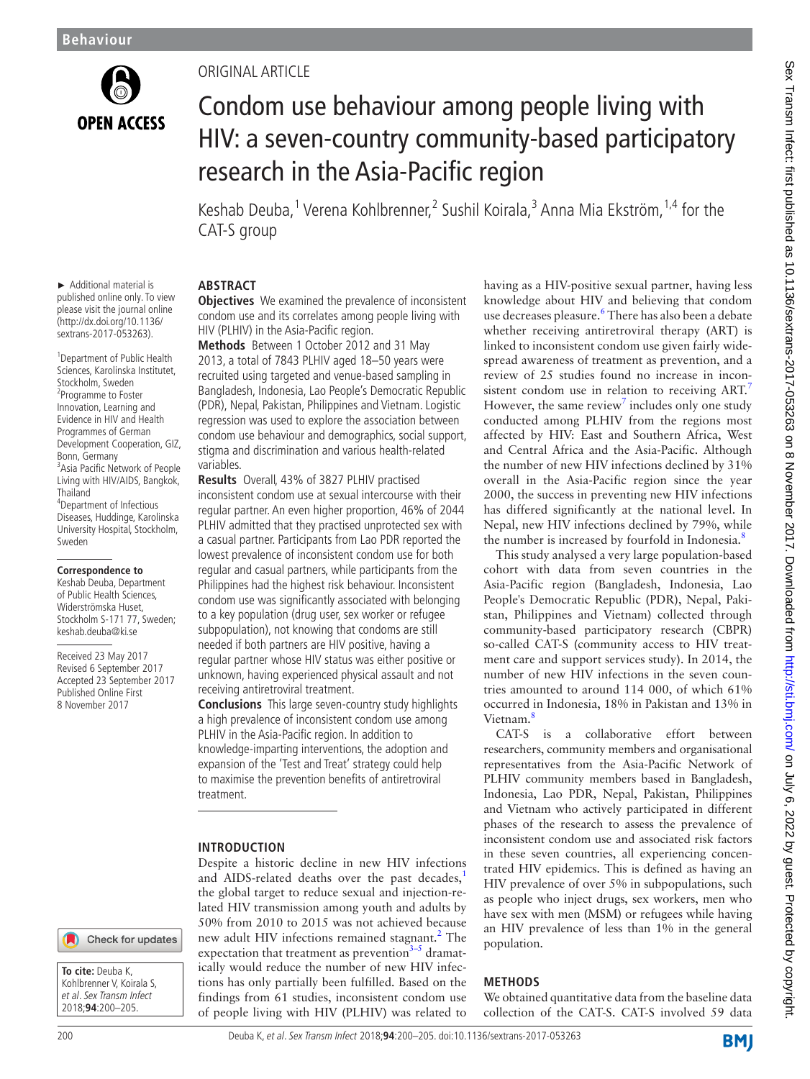

► Additional material is published online only. To view please visit the journal online (http://dx.doi.org/10.1136/ sextrans-2017-053263).

1 Department of Public Health Sciences, Karolinska Institutet, Stockholm, Sweden <sup>2</sup>Programme to Foster Innovation, Learning and Evidence in HIV and Health Programmes of German Development Cooperation, GIZ,

<sup>3</sup> Asia Pacific Network of People Living with HIV/AIDS, Bangkok,

4 Department of Infectious Diseases, Huddinge, Karolinska University Hospital, Stockholm,

**Correspondence to** Keshab Deuba, Department of Public Health Sciences, Widerströmska Huset, Stockholm S-171 77, Sweden; keshab.deuba@ki.se Received 23 May 2017 Revised 6 September 2017 Accepted 23 September 2017 Published Online First 8 November 2017

Bonn, Germany

**Thailand** 

Sweden

# Original article

# Condom use behaviour among people living with HIV: a seven-country community-based participatory research in the Asia-Pacific region

Keshab Deuba,<sup>1</sup> Verena Kohlbrenner,<sup>2</sup> Sushil Koirala,<sup>3</sup> Anna Mia Ekström,<sup>1,4</sup> for the CAT-S group

# **Abstract**

**Objectives** We examined the prevalence of inconsistent condom use and its correlates among people living with HIV (PLHIV) in the Asia-Pacific region.

**Methods** Between 1 October 2012 and 31 May 2013, a total of 7843 PLHIV aged 18–50 years were recruited using targeted and venue-based sampling in Bangladesh, Indonesia, Lao People's Democratic Republic (PDR), Nepal, Pakistan, Philippines and Vietnam. Logistic regression was used to explore the association between condom use behaviour and demographics, social support, stigma and discrimination and various health-related variables.

**Results** Overall, 43% of 3827 PLHIV practised inconsistent condom use at sexual intercourse with their regular partner. An even higher proportion, 46% of 2044 PLHIV admitted that they practised unprotected sex with a casual partner. Participants from Lao PDR reported the lowest prevalence of inconsistent condom use for both regular and casual partners, while participants from the Philippines had the highest risk behaviour. Inconsistent condom use was significantly associated with belonging to a key population (drug user, sex worker or refugee subpopulation), not knowing that condoms are still needed if both partners are HIV positive, having a regular partner whose HIV status was either positive or unknown, having experienced physical assault and not receiving antiretroviral treatment.

**Conclusions** This large seven-country study highlights a high prevalence of inconsistent condom use among PLHIV in the Asia-Pacific region. In addition to knowledge-imparting interventions, the adoption and expansion of the 'Test and Treat' strategy could help to maximise the prevention benefits of antiretroviral treatment.

## **Introduction**

Despite a historic decline in new HIV infections and AIDS-related deaths over the past decades,<sup>[1](#page-4-0)</sup> the global target to reduce sexual and injection-related HIV transmission among youth and adults by 50% from 2010 to 2015 was not achieved because new adult HIV infections remained stagnant.<sup>[2](#page-4-1)</sup> The expectation that treatment as prevention $3-5$  dramatically would reduce the number of new HIV infections has only partially been fulfilled. Based on the findings from 61 studies, inconsistent condom use of people living with HIV (PLHIV) was related to

having as a HIV-positive sexual partner, having less knowledge about HIV and believing that condom use decreases pleasure.<sup>[6](#page-4-3)</sup> There has also been a debate whether receiving antiretroviral therapy (ART) is linked to inconsistent condom use given fairly widespread awareness of treatment as prevention, and a review of 25 studies found no increase in incon-sistent condom use in relation to receiving ART.<sup>[7](#page-4-4)</sup> However, the same review<sup>[7](#page-4-4)</sup> includes only one study conducted among PLHIV from the regions most affected by HIV: East and Southern Africa, West and Central Africa and the Asia-Pacific. Although the number of new HIV infections declined by 31% overall in the Asia-Pacific region since the year 2000, the success in preventing new HIV infections has differed significantly at the national level. In Nepal, new HIV infections declined by 79%, while the number is increased by fourfold in Indonesia.<sup>8</sup>

This study analysed a very large population-based cohort with data from seven countries in the Asia-Pacific region (Bangladesh, Indonesia, Lao People's Democratic Republic (PDR), Nepal, Pakistan, Philippines and Vietnam) collected through community-based participatory research (CBPR) so-called CAT-S (community access to HIV treatment care and support services study). In 2014, the number of new HIV infections in the seven countries amounted to around 114 000, of which 61% occurred in Indonesia, 18% in Pakistan and 13% in Vietnam.[8](#page-4-5)

CAT-S is a collaborative effort between researchers, community members and organisational representatives from the Asia-Pacific Network of PLHIV community members based in Bangladesh, Indonesia, Lao PDR, Nepal, Pakistan, Philippines and Vietnam who actively participated in different phases of the research to assess the prevalence of inconsistent condom use and associated risk factors in these seven countries, all experiencing concentrated HIV epidemics. This is defined as having an HIV prevalence of over 5% in subpopulations, such as people who inject drugs, sex workers, men who have sex with men (MSM) or refugees while having an HIV prevalence of less than 1% in the general population.

# **Methods**

We obtained quantitative data from the baseline data collection of the CAT-S. CAT-S involved 59 data

# Check for updates

**To cite:** Deuba K, Kohlbrenner V, Koirala S, et al. Sex Transm Infect 2018;**94**:200–205.

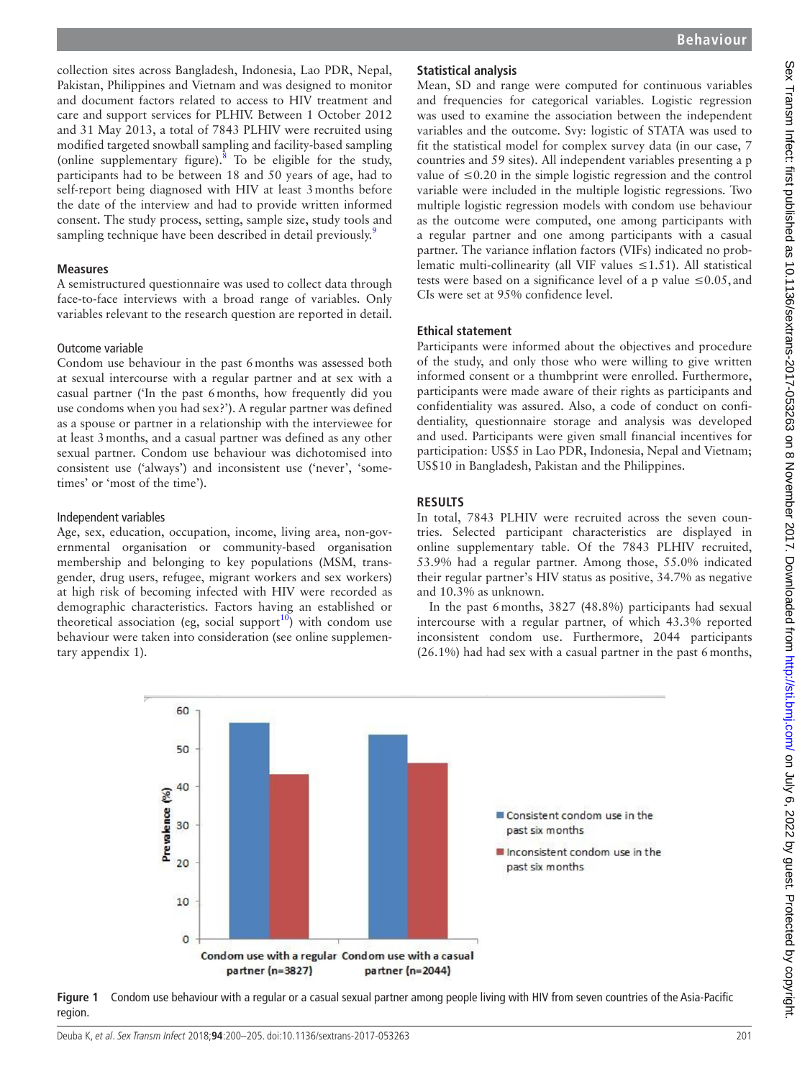collection sites across Bangladesh, Indonesia, Lao PDR, Nepal, Pakistan, Philippines and Vietnam and was designed to monitor and document factors related to access to HIV treatment and care and support services for PLHIV. Between 1 October 2012 and 31 May 2013, a total of 7843 PLHIV were recruited using modified targeted snowball sampling and facility-based sampling (online [supplementary figure](https://dx.doi.org/10.1136/sextrans-2017-053263)).[8](#page-4-5) To be eligible for the study, participants had to be between 18 and 50 years of age, had to self-report being diagnosed with HIV at least 3months before the date of the interview and had to provide written informed consent. The study process, setting, sample size, study tools and sampling technique have been described in detail previously.<sup>[9](#page-4-6)</sup>

#### **Measures**

A semistructured questionnaire was used to collect data through face-to-face interviews with a broad range of variables. Only variables relevant to the research question are reported in detail.

#### Outcome variable

Condom use behaviour in the past 6months was assessed both at sexual intercourse with a regular partner and at sex with a casual partner ('In the past 6months, how frequently did you use condoms when you had sex?'). A regular partner was defined as a spouse or partner in a relationship with the interviewee for at least 3months, and a casual partner was defined as any other sexual partner. Condom use behaviour was dichotomised into consistent use ('always') and inconsistent use ('never', 'sometimes' or 'most of the time').

#### Independent variables

Age, sex, education, occupation, income, living area, non-governmental organisation or community-based organisation membership and belonging to key populations (MSM, transgender, drug users, refugee, migrant workers and sex workers) at high risk of becoming infected with HIV were recorded as demographic characteristics. Factors having an established or theoretical association (eg, social support $10$ ) with condom use behaviour were taken into consideration (see online [supplemen](https://dx.doi.org/10.1136/sextrans-2017-053263)[tary appendix 1\)](https://dx.doi.org/10.1136/sextrans-2017-053263).

# **Statistical analysis**

Mean, SD and range were computed for continuous variables and frequencies for categorical variables. Logistic regression was used to examine the association between the independent variables and the outcome. Svy: logistic of STATA was used to fit the statistical model for complex survey data (in our case, 7 countries and 59 sites). All independent variables presenting a p value of  $\leq 0.20$  in the simple logistic regression and the control variable were included in the multiple logistic regressions. Two multiple logistic regression models with condom use behaviour as the outcome were computed, one among participants with a regular partner and one among participants with a casual partner. The variance inflation factors (VIFs) indicated no problematic multi-collinearity (all VIF values  $\leq$ 1.51). All statistical tests were based on a significance level of a p value  $\leq 0.05$ , and CIs were set at 95% confidence level.

#### **Ethical statement**

Participants were informed about the objectives and procedure of the study, and only those who were willing to give written informed consent or a thumbprint were enrolled. Furthermore, participants were made aware of their rights as participants and confidentiality was assured. Also, a code of conduct on confidentiality, questionnaire storage and analysis was developed and used. Participants were given small financial incentives for participation: US\$5 in Lao PDR, Indonesia, Nepal and Vietnam; US\$10 in Bangladesh, Pakistan and the Philippines.

## **Results**

In total, 7843 PLHIV were recruited across the seven countries. Selected participant characteristics are displayed in online [supplementary table.](https://dx.doi.org/10.1136/sextrans-2017-053263) Of the 7843 PLHIV recruited, 53.9% had a regular partner. Among those, 55.0% indicated their regular partner's HIV status as positive, 34.7% as negative and 10.3% as unknown.

In the past 6months, 3827 (48.8%) participants had sexual intercourse with a regular partner, of which 43.3% reported inconsistent condom use. Furthermore, 2044 participants (26.1%) had had sex with a casual partner in the past 6months,



<span id="page-1-0"></span>**Figure 1** Condom use behaviour with a regular or a casual sexual partner among people living with HIV from seven countries of the Asia-Pacific region.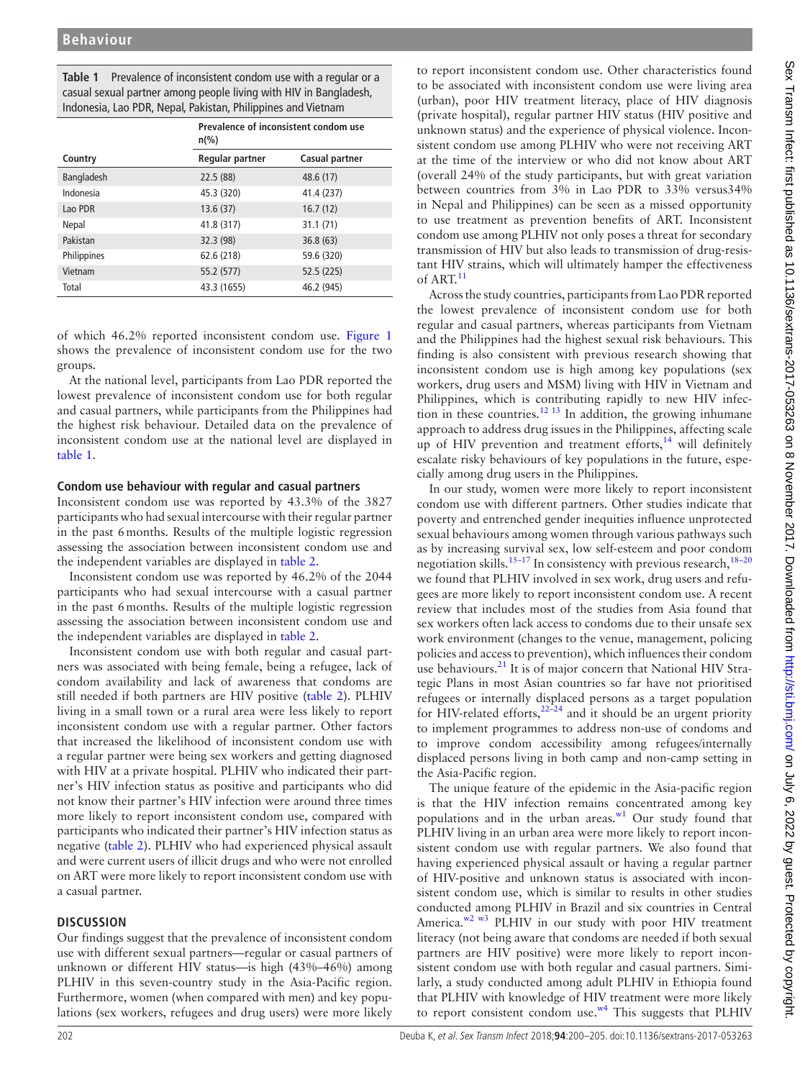<span id="page-2-0"></span>

| Table 1 | Prevalence of inconsistent condom use with a regular or a         |
|---------|-------------------------------------------------------------------|
|         | casual sexual partner among people living with HIV in Bangladesh, |
|         | Indonesia, Lao PDR, Nepal, Pakistan, Philippines and Vietnam      |

|             | Prevalence of inconsistent condom use<br>$n\frac{6}{6}$ |                |  |
|-------------|---------------------------------------------------------|----------------|--|
| Country     | <b>Regular partner</b>                                  | Casual partner |  |
| Bangladesh  | 22.5(88)                                                | 48.6 (17)      |  |
| Indonesia   | 45.3 (320)                                              | 41.4 (237)     |  |
| Lao PDR     | 13.6(37)                                                | 16.7(12)       |  |
| Nepal       | 41.8 (317)                                              | 31.1 (71)      |  |
| Pakistan    | 32.3 (98)                                               | 36.8(63)       |  |
| Philippines | 62.6 (218)                                              | 59.6 (320)     |  |
| Vietnam     | 55.2 (577)                                              | 52.5 (225)     |  |
| Total       | 43.3 (1655)                                             | 46.2 (945)     |  |

of which 46.2% reported inconsistent condom use. [Figure](#page-1-0) 1 shows the prevalence of inconsistent condom use for the two groups.

At the national level, participants from Lao PDR reported the lowest prevalence of inconsistent condom use for both regular and casual partners, while participants from the Philippines had the highest risk behaviour. Detailed data on the prevalence of inconsistent condom use at the national level are displayed in [table](#page-2-0) 1.

## **Condom use behaviour with regular and casual partners**

Inconsistent condom use was reported by 43.3% of the 3827 participants who had sexual intercourse with their regular partner in the past 6months. Results of the multiple logistic regression assessing the association between inconsistent condom use and the independent variables are displayed in [table](#page-3-0) 2.

Inconsistent condom use was reported by 46.2% of the 2044 participants who had sexual intercourse with a casual partner in the past 6months. Results of the multiple logistic regression assessing the association between inconsistent condom use and the independent variables are displayed in [table](#page-3-0) 2.

Inconsistent condom use with both regular and casual partners was associated with being female, being a refugee, lack of condom availability and lack of awareness that condoms are still needed if both partners are HIV positive ([table](#page-3-0) 2). PLHIV living in a small town or a rural area were less likely to report inconsistent condom use with a regular partner. Other factors that increased the likelihood of inconsistent condom use with a regular partner were being sex workers and getting diagnosed with HIV at a private hospital. PLHIV who indicated their partner's HIV infection status as positive and participants who did not know their partner's HIV infection were around three times more likely to report inconsistent condom use, compared with participants who indicated their partner's HIV infection status as negative ([table](#page-3-0) 2). PLHIV who had experienced physical assault and were current users of illicit drugs and who were not enrolled on ART were more likely to report inconsistent condom use with a casual partner.

## **Discussion**

Our findings suggest that the prevalence of inconsistent condom use with different sexual partners—regular or casual partners of unknown or different HIV status—is high (43%–46%) among PLHIV in this seven-country study in the Asia-Pacific region. Furthermore, women (when compared with men) and key populations (sex workers, refugees and drug users) were more likely

to report inconsistent condom use. Other characteristics found to be associated with inconsistent condom use were living area (urban), poor HIV treatment literacy, place of HIV diagnosis (private hospital), regular partner HIV status (HIV positive and unknown status) and the experience of physical violence. Inconsistent condom use among PLHIV who were not receiving ART at the time of the interview or who did not know about ART (overall 24% of the study participants, but with great variation between countries from 3% in Lao PDR to 33% versus34% in Nepal and Philippines) can be seen as a missed opportunity to use treatment as prevention benefits of ART. Inconsistent condom use among PLHIV not only poses a threat for secondary transmission of HIV but also leads to transmission of drug-resistant HIV strains, which will ultimately hamper the effectiveness of  $ART$ .<sup>[11](#page-4-8)</sup>

Across the study countries, participants from Lao PDR reported the lowest prevalence of inconsistent condom use for both regular and casual partners, whereas participants from Vietnam and the Philippines had the highest sexual risk behaviours. This finding is also consistent with previous research showing that inconsistent condom use is high among key populations (sex workers, drug users and MSM) living with HIV in Vietnam and Philippines, which is contributing rapidly to new HIV infec-tion in these countries.<sup>[12 13](#page-4-9)</sup> In addition, the growing inhumane approach to address drug issues in the Philippines, affecting scale up of HIV prevention and treatment efforts, $14$  will definitely escalate risky behaviours of key populations in the future, especially among drug users in the Philippines.

In our study, women were more likely to report inconsistent condom use with different partners. Other studies indicate that poverty and entrenched gender inequities influence unprotected sexual behaviours among women through various pathways such as by increasing survival sex, low self-esteem and poor condom negotiation skills.<sup>15–17</sup> In consistency with previous research,<sup>18–20</sup> we found that PLHIV involved in sex work, drug users and refugees are more likely to report inconsistent condom use. A recent review that includes most of the studies from Asia found that sex workers often lack access to condoms due to their unsafe sex work environment (changes to the venue, management, policing policies and access to prevention), which influences their condom use behaviours. $^{21}$  It is of major concern that National HIV Strategic Plans in most Asian countries so far have not prioritised refugees or internally displaced persons as a target population for HIV-related efforts,  $22-24$  and it should be an urgent priority to implement programmes to address non-use of condoms and to improve condom accessibility among refugees/internally displaced persons living in both camp and non-camp setting in the Asia-Pacific region.

The unique feature of the epidemic in the Asia-pacific region is that the HIV infection remains concentrated among key populations and in the urban areas. $w<sup>1</sup>$  Our study found that PLHIV living in an urban area were more likely to report inconsistent condom use with regular partners. We also found that having experienced physical assault or having a regular partner of HIV-positive and unknown status is associated with inconsistent condom use, which is similar to results in other studies conducted among PLHIV in Brazil and six countries in Central America.<sup>w2 w3</sup> PLHIV in our study with poor HIV treatment literacy (not being aware that condoms are needed if both sexual partners are HIV positive) were more likely to report inconsistent condom use with both regular and casual partners. Similarly, a study conducted among adult PLHIV in Ethiopia found that PLHIV with knowledge of HIV treatment were more likely to report consistent condom use.<sup>[w4](#page-5-4)</sup> This suggests that PLHIV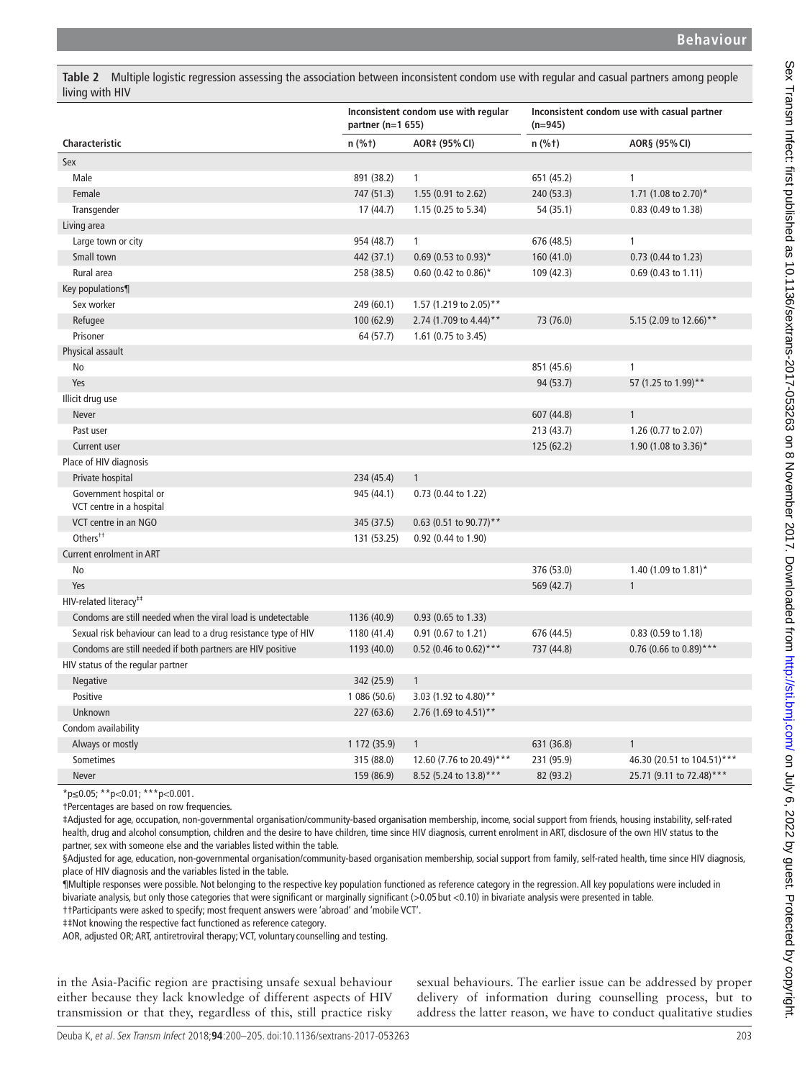<span id="page-3-0"></span>**Table 2** Multiple logistic regression assessing the association between inconsistent condom use with regular and casual partners among people living with HIV

|                                                                 | Inconsistent condom use with regular<br>partner (n=1 655) |                          | Inconsistent condom use with casual partner<br>$(n=945)$ |                            |
|-----------------------------------------------------------------|-----------------------------------------------------------|--------------------------|----------------------------------------------------------|----------------------------|
| <b>Characteristic</b>                                           | n(%t)                                                     | AOR‡ (95% CI)            | $n$ (% $t$ )                                             | AOR§ (95% CI)              |
| Sex                                                             |                                                           |                          |                                                          |                            |
| Male                                                            | 891 (38.2)                                                | $\mathbf{1}$             | 651 (45.2)                                               | $\mathbf{1}$               |
| Female                                                          | 747 (51.3)                                                | 1.55 (0.91 to 2.62)      | 240 (53.3)                                               | 1.71 (1.08 to 2.70)*       |
| Transgender                                                     | 17(44.7)                                                  | 1.15 (0.25 to 5.34)      | 54 (35.1)                                                | 0.83 (0.49 to 1.38)        |
| Living area                                                     |                                                           |                          |                                                          |                            |
| Large town or city                                              | 954 (48.7)                                                | $\mathbf{1}$             | 676 (48.5)                                               | $\mathbf{1}$               |
| Small town                                                      | 442 (37.1)                                                | $0.69$ (0.53 to 0.93)*   | 160 (41.0)                                               | 0.73 (0.44 to 1.23)        |
| Rural area                                                      | 258 (38.5)                                                | $0.60$ (0.42 to 0.86)*   | 109 (42.3)                                               | 0.69 (0.43 to 1.11)        |
| Key populations¶                                                |                                                           |                          |                                                          |                            |
| Sex worker                                                      | 249 (60.1)                                                | 1.57 (1.219 to 2.05)**   |                                                          |                            |
| Refugee                                                         | 100(62.9)                                                 | 2.74 (1.709 to 4.44)**   | 73 (76.0)                                                | 5.15 (2.09 to 12.66)**     |
| Prisoner                                                        | 64 (57.7)                                                 | 1.61 (0.75 to 3.45)      |                                                          |                            |
| Physical assault                                                |                                                           |                          |                                                          |                            |
| No                                                              |                                                           |                          | 851 (45.6)                                               | 1                          |
| Yes                                                             |                                                           |                          | 94 (53.7)                                                | 57 (1.25 to 1.99)**        |
| Illicit drug use                                                |                                                           |                          |                                                          |                            |
| Never                                                           |                                                           |                          | 607 (44.8)                                               | $\mathbf{1}$               |
| Past user                                                       |                                                           |                          | 213 (43.7)                                               | 1.26 (0.77 to 2.07)        |
| Current user                                                    |                                                           |                          | 125(62.2)                                                | 1.90 (1.08 to 3.36)*       |
| Place of HIV diagnosis                                          |                                                           |                          |                                                          |                            |
| Private hospital                                                | 234 (45.4)                                                | $\mathbf{1}$             |                                                          |                            |
| Government hospital or                                          | 945 (44.1)                                                | 0.73 (0.44 to 1.22)      |                                                          |                            |
| VCT centre in a hospital                                        |                                                           |                          |                                                          |                            |
| VCT centre in an NGO                                            | 345 (37.5)                                                | 0.63 (0.51 to 90.77)**   |                                                          |                            |
| Others <sup>tt</sup>                                            | 131 (53.25)                                               | 0.92 (0.44 to 1.90)      |                                                          |                            |
| Current enrolment in ART                                        |                                                           |                          |                                                          |                            |
| No                                                              |                                                           |                          | 376 (53.0)                                               | 1.40 (1.09 to 1.81)*       |
| Yes                                                             |                                                           |                          | 569 (42.7)                                               | $\mathbf{1}$               |
| HIV-related literacy <sup>##</sup>                              |                                                           |                          |                                                          |                            |
| Condoms are still needed when the viral load is undetectable    | 1136 (40.9)                                               | 0.93 (0.65 to 1.33)      |                                                          |                            |
| Sexual risk behaviour can lead to a drug resistance type of HIV | 1180 (41.4)                                               | 0.91 (0.67 to 1.21)      | 676 (44.5)                                               | 0.83 (0.59 to 1.18)        |
| Condoms are still needed if both partners are HIV positive      | 1193 (40.0)                                               | 0.52 (0.46 to 0.62)***   | 737 (44.8)                                               | 0.76 (0.66 to 0.89) ***    |
| HIV status of the regular partner                               |                                                           |                          |                                                          |                            |
| Negative                                                        | 342 (25.9)                                                | $\mathbf{1}$             |                                                          |                            |
| Positive                                                        | 1 086 (50.6)                                              | 3.03 (1.92 to 4.80)**    |                                                          |                            |
| Unknown                                                         | 227 (63.6)                                                | 2.76 (1.69 to 4.51)**    |                                                          |                            |
| Condom availability                                             |                                                           |                          |                                                          |                            |
| Always or mostly                                                | 1 172 (35.9)                                              | $\mathbf{1}$             | 631 (36.8)                                               | $\mathbf{1}$               |
| Sometimes                                                       | 315 (88.0)                                                | 12.60 (7.76 to 20.49)*** | 231 (95.9)                                               | 46.30 (20.51 to 104.51)*** |
| Never                                                           | 159 (86.9)                                                | 8.52 (5.24 to 13.8)***   | 82 (93.2)                                                | 25.71 (9.11 to 72.48)***   |

\*p≤0.05; \*\*p<0.01; \*\*\*p<0.001.

†Percentages are based on row frequencies.

‡Adjusted for age, occupation, non-governmental organisation/community-based organisation membership, income, social support from friends, housing instability, self-rated health, drug and alcohol consumption, children and the desire to have children, time since HIV diagnosis, current enrolment in ART, disclosure of the own HIV status to the partner, sex with someone else and the variables listed within the table.

§Adjusted for age, education, non-governmental organisation/community-based organisation membership, social support from family, self-rated health, time since HIV diagnosis, place of HIV diagnosis and the variables listed in the table.

¶Multiple responses were possible. Not belonging to the respective key population functioned as reference category in the regression. All key populations were included in bivariate analysis, but only those categories that were significant or marginally significant (>0.05 but <0.10) in bivariate analysis were presented in table. ††Participants were asked to specify; most frequent answers were 'abroad' and 'mobile VCT'.

‡‡Not knowing the respective fact functioned as reference category.

AOR, adjusted OR; ART, antiretroviral therapy; VCT, voluntary counselling and testing.

in the Asia-Pacific region are practising unsafe sexual behaviour either because they lack knowledge of different aspects of HIV transmission or that they, regardless of this, still practice risky sexual behaviours. The earlier issue can be addressed by proper delivery of information during counselling process, but to address the latter reason, we have to conduct qualitative studies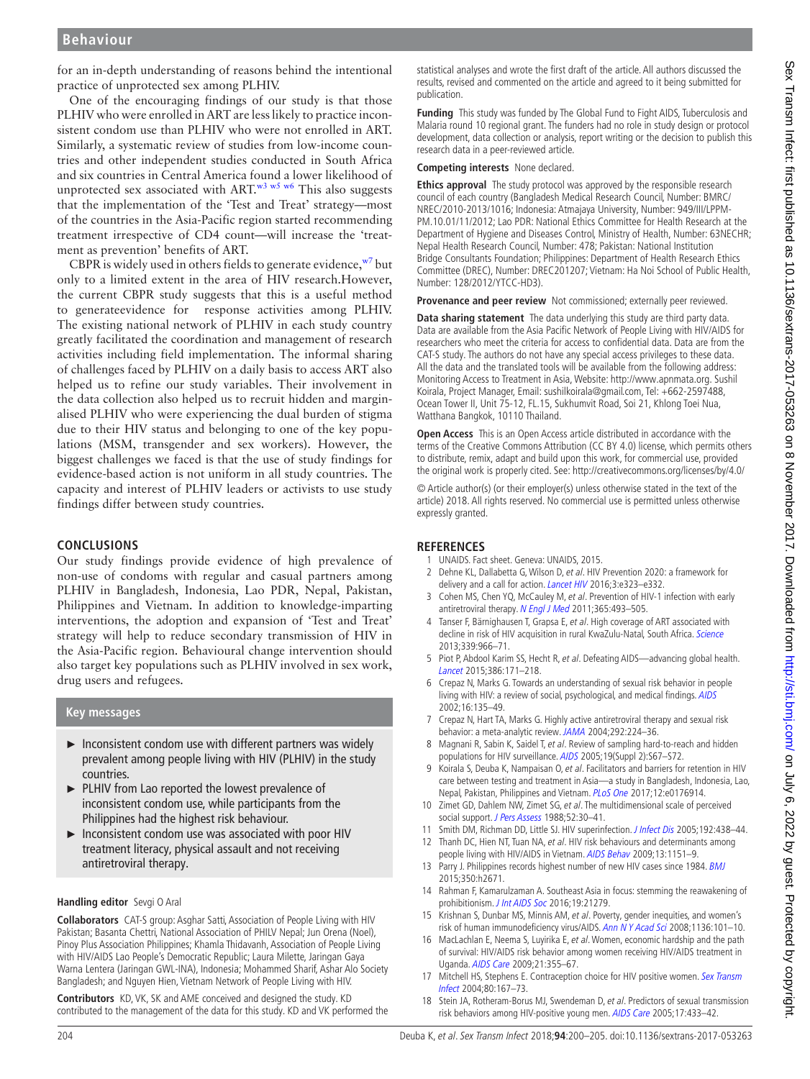for an in-depth understanding of reasons behind the intentional practice of unprotected sex among PLHIV.

One of the encouraging findings of our study is that those PLHIV who were enrolled in ART are less likely to practice inconsistent condom use than PLHIV who were not enrolled in ART. Similarly, a systematic review of studies from low-income countries and other independent studies conducted in South Africa and six countries in Central America found a lower likelihood of unprotected sex associated with ART.<sup>[w3 w5 w6](#page-5-5)</sup> This also suggests that the implementation of the 'Test and Treat' strategy—most of the countries in the Asia-Pacific region started recommending treatment irrespective of CD4 count—will increase the 'treatment as prevention' benefits of ART.

CBPR is widely used in others fields to generate evidence, $w^7$  but only to a limited extent in the area of HIV research.However, the current CBPR study suggests that this is a useful method to generateevidence for response activities among PLHIV. The existing national network of PLHIV in each study country greatly facilitated the coordination and management of research activities including field implementation. The informal sharing of challenges faced by PLHIV on a daily basis to access ART also helped us to refine our study variables. Their involvement in the data collection also helped us to recruit hidden and marginalised PLHIV who were experiencing the dual burden of stigma due to their HIV status and belonging to one of the key populations (MSM, transgender and sex workers). However, the biggest challenges we faced is that the use of study findings for evidence-based action is not uniform in all study countries. The capacity and interest of PLHIV leaders or activists to use study findings differ between study countries.

## **Conclusions**

Our study findings provide evidence of high prevalence of non-use of condoms with regular and casual partners among PLHIV in Bangladesh, Indonesia, Lao PDR, Nepal, Pakistan, Philippines and Vietnam. In addition to knowledge-imparting interventions, the adoption and expansion of 'Test and Treat' strategy will help to reduce secondary transmission of HIV in the Asia-Pacific region. Behavioural change intervention should also target key populations such as PLHIV involved in sex work, drug users and refugees.

#### **Key messages**

- $\blacktriangleright$  Inconsistent condom use with different partners was widely prevalent among people living with HIV (PLHIV) in the study countries.
- ► PLHIV from Lao reported the lowest prevalence of inconsistent condom use, while participants from the Philippines had the highest risk behaviour.
- ► Inconsistent condom use was associated with poor HIV treatment literacy, physical assault and not receiving antiretroviral therapy.

#### **Handling editor** Sevgi O Aral

**Collaborators** CAT-S group: Asghar Satti, Association of People Living with HIV Pakistan; Basanta Chettri, National Association of PHILV Nepal; Jun Orena (Noel), Pinoy Plus Association Philippines; Khamla Thidavanh, Association of People Living with HIV/AIDS Lao People's Democratic Republic; Laura Milette, Jaringan Gaya Warna Lentera (Jaringan GWL-INA), Indonesia; Mohammed Sharif, Ashar Alo Society Bangladesh; and Nguyen Hien, Vietnam Network of People Living with HIV.

**Contributors** KD, VK, SK and AME conceived and designed the study. KD contributed to the management of the data for this study. KD and VK performed the statistical analyses and wrote the first draft of the article. All authors discussed the results, revised and commented on the article and agreed to it being submitted for publication.

**Funding** This study was funded by The Global Fund to Fight AIDS, Tuberculosis and Malaria round 10 regional grant. The funders had no role in study design or protocol development, data collection or analysis, report writing or the decision to publish this research data in a peer-reviewed article.

#### **Competing interests** None declared.

**Ethics approval** The study protocol was approved by the responsible research council of each country (Bangladesh Medical Research Council, Number: BMRC/ NREC/2010-2013/1016; Indonesia: Atmajaya University, Number: 949/III/LPPM-PM.10.01/11/2012; Lao PDR: National Ethics Committee for Health Research at the Department of Hygiene and Diseases Control, Ministry of Health, Number: 63NECHR; Nepal Health Research Council, Number: 478; Pakistan: National Institution Bridge Consultants Foundation; Philippines: Department of Health Research Ethics Committee (DREC), Number: DREC201207; Vietnam: Ha Noi School of Public Health, Number: 128/2012/YTCC-HD3).

**Provenance and peer review** Not commissioned; externally peer reviewed.

**Data sharing statement** The data underlying this study are third party data. Data are available from the Asia Pacific Network of People Living with HIV/AIDS for researchers who meet the criteria for access to confidential data. Data are from the CAT-S study. The authors do not have any special access privileges to these data. All the data and the translated tools will be available from the following address: Monitoring Access to Treatment in Asia, Website: [http://www.apnmata.org.](http://www.apnmata.org) Sushil Koirala, Project Manager, Email: sushilkoirala@gmail.com, Tel: +662-2597488, Ocean Tower II, Unit 75-12, FL.15, Sukhumvit Road, Soi 21, Khlong Toei Nua, Watthana Bangkok, 10110 Thailand.

**Open Access** This is an Open Access article distributed in accordance with the terms of the Creative Commons Attribution (CC BY 4.0) license, which permits others to distribute, remix, adapt and build upon this work, for commercial use, provided the original work is properly cited. See:<http://creativecommons.org/licenses/by/4.0/>

© Article author(s) (or their employer(s) unless otherwise stated in the text of the article) 2018. All rights reserved. No commercial use is permitted unless otherwise expressly granted.

#### **References**

- <span id="page-4-0"></span>1 UNAIDS. Fact sheet. Geneva: UNAIDS, 2015.
- <span id="page-4-1"></span>2 Dehne KL, Dallabetta G, Wilson D, et al. HIV Prevention 2020: a framework for delivery and a call for action. *[Lancet HIV](http://dx.doi.org/10.1016/S2352-3018(16)30035-2)* 2016;3:e323-e332.
- <span id="page-4-2"></span>Cohen MS, Chen YQ, McCauley M, et al. Prevention of HIV-1 infection with early antiretroviral therapy. [N Engl J Med](http://dx.doi.org/10.1056/NEJMoa1105243) 2011;365:493-505.
- 4 Tanser F, Bärnighausen T, Grapsa E, et al. High coverage of ART associated with decline in risk of HIV acquisition in rural KwaZulu-Natal, South Africa. [Science](http://dx.doi.org/10.1126/science.1228160) 2013;339:966–71.
- 5 Piot P, Abdool Karim SS, Hecht R, et al. Defeating AIDS—advancing global health. [Lancet](http://dx.doi.org/10.1016/S0140-6736(15)60658-4) 2015;386:171–218.
- <span id="page-4-3"></span>6 Crepaz N, Marks G. Towards an understanding of sexual risk behavior in people living with HIV: a review of social, psychological, and medical findings. [AIDS](http://dx.doi.org/10.1097/00002030-200201250-00002) 2002;16:135–49.
- <span id="page-4-4"></span>7 Crepaz N, Hart TA, Marks G. Highly active antiretroviral therapy and sexual risk behavior: a meta-analytic review. [JAMA](http://dx.doi.org/10.1001/jama.292.2.224) 2004;292:224–36.
- <span id="page-4-5"></span>8 Magnani R, Sabin K, Saidel T, et al. Review of sampling hard-to-reach and hidden populations for HIV surveillance. [AIDS](http://dx.doi.org/10.1097/01.aids.0000172879.20628.e1) 2005;19(Suppl 2):S67–S72.
- <span id="page-4-6"></span>9 Koirala S, Deuba K, Nampaisan O, et al. Facilitators and barriers for retention in HIV care between testing and treatment in Asia—a study in Bangladesh, Indonesia, Lao, Nepal, Pakistan, Philippines and Vietnam. [PLoS One](http://dx.doi.org/10.1371/journal.pone.0176914) 2017;12:e0176914.
- <span id="page-4-7"></span>10 Zimet GD, Dahlem NW, Zimet SG, et al. The multidimensional scale of perceived social support. [J Pers Assess](http://dx.doi.org/10.1207/s15327752jpa5201_2) 1988:52:30-41.
- <span id="page-4-8"></span>11 Smith DM, Richman DD, Little SJ. HIV superinfection. [J Infect Dis](http://dx.doi.org/10.1086/431682) 2005;192:438-44.
- <span id="page-4-9"></span>12 Thanh DC, Hien NT, Tuan NA, et al. HIV risk behaviours and determinants among people living with HIV/AIDS in Vietnam. [AIDS Behav](http://dx.doi.org/10.1007/s10461-008-9451-8) 2009;13:1151-9.
- 13 Parry J. Philippines records highest number of new HIV cases since 1984. [BMJ](http://dx.doi.org/10.1136/bmj.h2671) 2015;350:h2671.
- <span id="page-4-10"></span>14 Rahman F, Kamarulzaman A. Southeast Asia in focus: stemming the reawakening of prohibitionism. [J Int AIDS Soc](http://dx.doi.org/10.7448/IAS.19.1.21279) 2016;19:21279.
- <span id="page-4-11"></span>15 Krishnan S, Dunbar MS, Minnis AM, et al. Poverty, gender inequities, and women's risk of human immunodeficiency virus/AIDS. [Ann N Y Acad Sci](http://dx.doi.org/10.1196/annals.1425.013) 2008;1136:101-10.
- 16 MacLachlan E, Neema S, Luyirika E, et al. Women, economic hardship and the path of survival: HIV/AIDS risk behavior among women receiving HIV/AIDS treatment in Uganda. [AIDS Care](http://dx.doi.org/10.1080/09540120802184121) 2009;21:355–67.
- 17 Mitchell HS, Stephens E. Contraception choice for HIV positive women. Sex Transm [Infect](http://dx.doi.org/10.1136/sti.2003.008441) 2004;80:167–73.
- <span id="page-4-12"></span>18 Stein JA, Rotheram-Borus MJ, Swendeman D, et al. Predictors of sexual transmission risk behaviors among HIV-positive young men. [AIDS Care](http://dx.doi.org/10.1080/09540120412331291724) 2005;17:433-42.